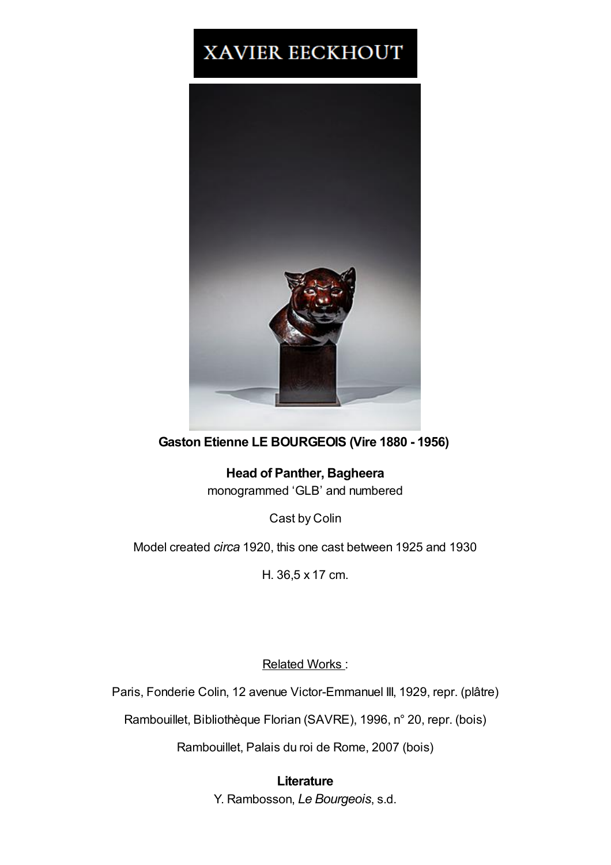## XAVIER EECKHOUT



## **Gaston Etienne LE BOURGEOIS (Vire 1880 - 1956)**

**Head of Panther, Bagheera** monogrammed 'GLB' and numbered

Cast by Colin

Model created *circa* 1920, this one cast between 1925 and 1930

H. 36,5 x 17 cm.

Related Works :

Paris, Fonderie Colin, 12 avenue Victor-Emmanuel III, 1929, repr. (plâtre)

Rambouillet, Bibliothèque Florian (SAVRE), 1996, n° 20, repr. (bois)

Rambouillet, Palais du roi de Rome, 2007 (bois)

**Literature** Y. Rambosson, *Le Bourgeois*, s.d.